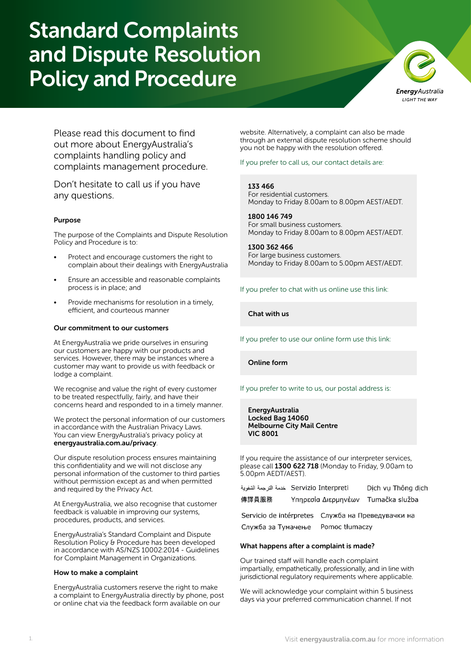# Standard Complaints and Dispute Resolution Policy and Procedure



Please read this document to find out more about EnergyAustralia's complaints handling policy and complaints management procedure.

Don't hesitate to call us if you have any questions.

# Purpose

The purpose of the Complaints and Dispute Resolution Policy and Procedure is to:

- Protect and encourage customers the right to complain about their dealings with EnergyAustralia
- Ensure an accessible and reasonable complaints process is in place; and
- Provide mechanisms for resolution in a timely, efficient, and courteous manner

#### Our commitment to our customers

At EnergyAustralia we pride ourselves in ensuring our customers are happy with our products and services. However, there may be instances where a customer may want to provide us with feedback or lodge a complaint.

We recognise and value the right of every customer to be treated respectfully, fairly, and have their concerns heard and responded to in a timely manner.

We protect the personal information of our customers in accordance with the Australian Privacy Laws. You can view EnergyAustralia's privacy policy at [energyaustralia.com.au/privacy](http://energyaustralia.com.au/privacy).

Our dispute resolution process ensures maintaining this confidentiality and we will not disclose any personal information of the customer to third parties without permission except as and when permitted and required by the Privacy Act.

At EnergyAustralia, we also recognise that customer feedback is valuable in improving our systems, procedures, products, and services.

EnergyAustralia's Standard Complaint and Dispute Resolution Policy & Procedure has been developed in accordance with AS/NZS 10002:2014 - Guidelines for Complaint Management in Organizations.

#### How to make a complaint

EnergyAustralia customers reserve the right to make a complaint to EnergyAustralia directly by phone, post or online chat via the feedback form available on our

website. Alternatively, a complaint can also be made through an external dispute resolution scheme should you not be happy with the resolution offered.

If you prefer to call us, our contact details are:

133 466 For residential customers. Monday to Friday 8.00am to 8.00pm AEST/AEDT.

1800 146 749 For small business customers. Monday to Friday 8.00am to 8.00pm AEST/AEDT.

1300 362 466 For large business customers. Monday to Friday 8.00am to 5.00pm AEST/AEDT.

If you prefer to chat with us online use this link:

[Chat with us](https://www.energyaustralia.com.au/home/help-and-support/contact-us)

If you prefer to use our online form use this link:

[Online form](https://www.energyaustralia.com.au/home/help-and-support/contact-us/general-enquiries-form)

If you prefer to write to us, our postal address is:

EnergyAustralia Locked Bag 14060 Melbourne City Mail Centre VIC 8001

If you require the assistance of our interpreter services, please call 1300 622 718 (Monday to Friday, 9.00am to 5.00pm AEDT/AEST).

|       | Servizio Interpreti خدمة الترجمة الشفوية | Dich vu Thông dich |
|-------|------------------------------------------|--------------------|
| 傳譯員服務 | Υπηρεσία Διερμηνέων                      | Tumačka služba     |

Servicio de intérpretes Служба на Преведувачки на Служба за Тумачење Pomoc tłumaczy

# What happens after a complaint is made?

Our trained staff will handle each complaint impartially, empathetically, professionally, and in line with jurisdictional regulatory requirements where applicable.

We will acknowledge your complaint within 5 business days via your preferred communication channel. If not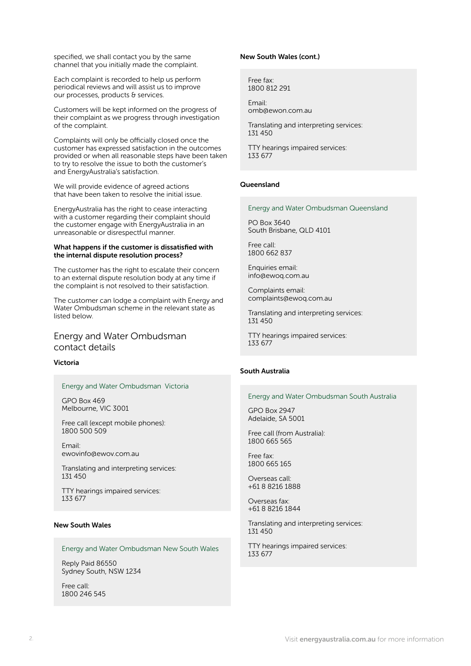specified, we shall contact you by the same channel that you initially made the complaint.

Each complaint is recorded to help us perform periodical reviews and will assist us to improve our processes, products & services.

Customers will be kept informed on the progress of their complaint as we progress through investigation of the complaint.

Complaints will only be officially closed once the customer has expressed satisfaction in the outcomes provided or when all reasonable steps have been taken to try to resolve the issue to both the customer's and EnergyAustralia's satisfaction.

We will provide evidence of agreed actions that have been taken to resolve the initial issue.

EnergyAustralia has the right to cease interacting with a customer regarding their complaint should the customer engage with EnergyAustralia in an unreasonable or disrespectful manner.

#### What happens if the customer is dissatisfied with the internal dispute resolution process?

The customer has the right to escalate their concern to an external dispute resolution body at any time if the complaint is not resolved to their satisfaction.

The customer can lodge a complaint with Energy and Water Ombudsman scheme in the relevant state as listed below.

# Energy and Water Ombudsman contact details

# Victoria

#### Energy and Water Ombudsman Victoria

GPO Box 469 Melbourne, VIC 3001

Free call (except mobile phones): 1800 500 509

Email: ewovinfo@ewov.com.au

Translating and interpreting services: 131 450

TTY hearings impaired services: 133 677

# New South Wales

# Energy and Water Ombudsman New South Wales

Reply Paid 86550 Sydney South, NSW 1234

Free call: 1800 246 545

#### New South Wales (cont.)

Free fax: 1800 812 291

Email: omb@ewon.com.au

Translating and interpreting services: 131 450

TTY hearings impaired services: 133 677

#### **Queensland**

#### Energy and Water Ombudsman Queensland

PO Box 3640 South Brisbane, QLD 4101

Free call: 1800 662 837

Enquiries email: info@ewoq.com.au

Complaints email: complaints@ewoq.com.au

Translating and interpreting services: 131 450

TTY hearings impaired services: 133 677

# South Australia

#### Energy and Water Ombudsman South Australia

GPO Box 2947 Adelaide, SA 5001

Free call (from Australia): 1800 665 565

Free fax: 1800 665 165

Overseas call: +61 8 8216 1888

Overseas fax: +61 8 8216 1844

Translating and interpreting services: 131 450

TTY hearings impaired services: 133 677